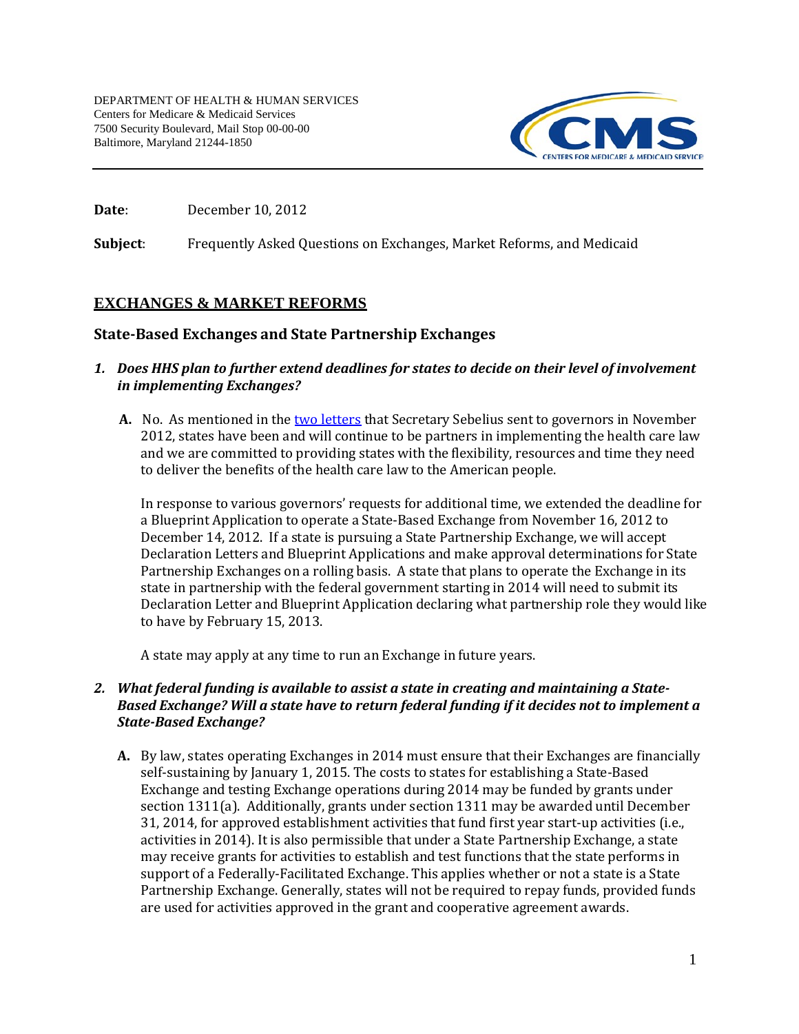

**Date:** December 10, 2012

**Subject**: Frequently Asked Questions on Exchanges, Market Reforms, and Medicaid

# **EXCHANGES & MARKET REFORMS**

# **State-Based Exchanges and State Partnership Exchanges**

### *1. Does HHS plan to further extend deadlines for states to decide on their level of involvement in implementing Exchanges?*

**A.** No. As mentioned in the <u>two letters</u> that Secretary Sebelius sent to governors in November 2012, states have been and will continue to be partners in implementing the health care law and we are committed to providing states with the flexibility, resources and time they need to deliver the benefits of the health care law to the American people.

 In response to various governors' requests for additional time, we extended the deadline for a Blueprint Application to operate a State-Based Exchange from November 16, 2012 to December 14, 2012. If a state is pursuing a State Partnership Exchange, we will accept Declaration Letters and Blueprint Applications and make approval determinations for State Partnership Exchanges on a rolling basis. A state that plans to operate the Exchange in its state in partnership with the federal government starting in 2014 will need to submit its Declaration Letter and Blueprint Application declaring what partnership role they would like to have by February 15, 2013.

A state may apply at any time to run an Exchange in future years.

# *2. What federal funding is available to assist a state in creating and maintaining a State- Based Exchange? Will a state have to return federal funding if it decides not to implement a State-Based Exchange?*

 **A.** By law, states operating Exchanges in 2014 must ensure that their Exchanges are financially self-sustaining by January 1, 2015. The costs to states for establishing a State-Based Exchange and testing Exchange operations during 2014 may be funded by grants under section 1311(a). Additionally, grants under section 1311 may be awarded until December 31, 2014, for approved establishment activities that fund first year start-up activities (i.e., activities in 2014). It is also permissible that under a State Partnership Exchange, a state may receive grants for activities to establish and test functions that the state performs in support of a Federally-Facilitated Exchange. This applies whether or not a state is a State Partnership Exchange. Generally, states will not be required to repay funds, provided funds are used for activities approved in the grant and cooperative agreement awards.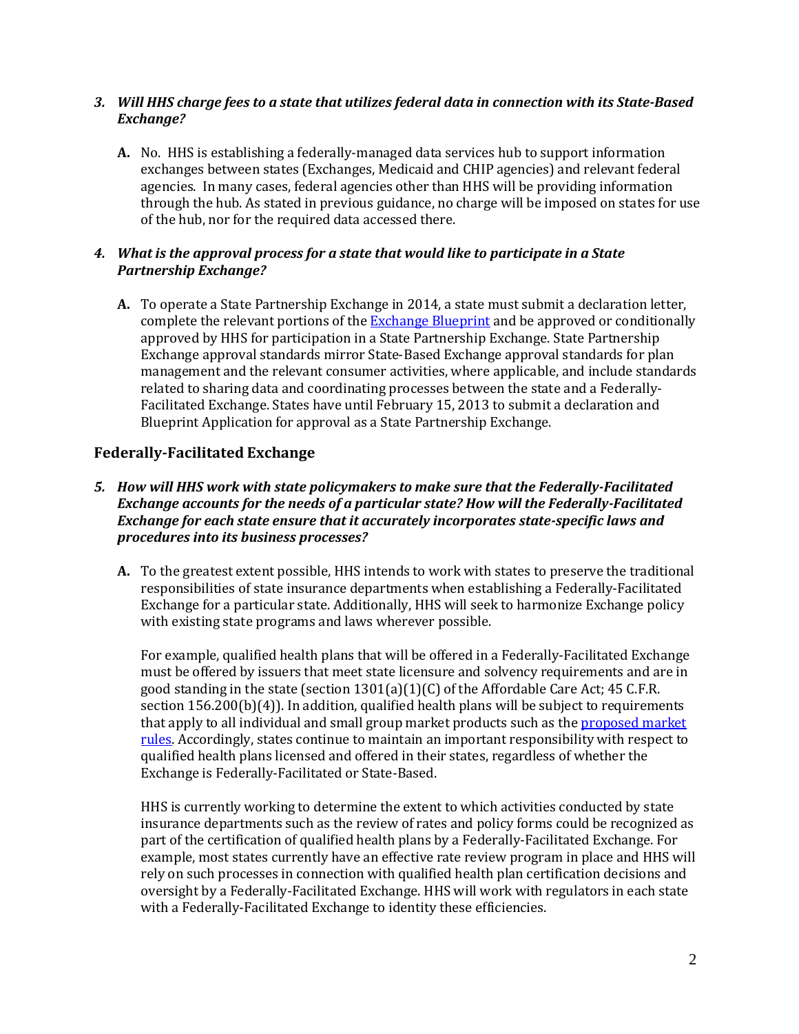#### *3. Will HHS charge fees to a state that utilizes federal data in connection with its State-Based Exchange?*

 **A.** No. HHS is establishing a federally-managed data services hub to support information exchanges between states (Exchanges, Medicaid and CHIP agencies) and relevant federal agencies. In many cases, federal agencies other than HHS will be providing information through the hub. As stated in previous guidance, no charge will be imposed on states for use of the hub, nor for the required data accessed there.

# *4. What is the approval process for a state that would like to participate in a State Partnership Exchange?*

 **A.** To operate a State Partnership Exchange in 2014, a state must submit a declaration letter, complete the relevant portions of the <u>Exchange Blueprint</u> and be approved or conditionally approved by HHS for participation in a State Partnership Exchange. State Partnership Exchange approval standards mirror State-Based Exchange approval standards for plan management and the relevant consumer activities, where applicable, and include standards related to sharing data and coordinating processes between the state and a Federally- Facilitated Exchange. States have until February 15, 2013 to submit a declaration and Blueprint Application for approval as a State Partnership Exchange.

# **Federally-Facilitated Exchange**

- *5. How will HHS work with state policymakers to make sure that the Federally-Facilitated Exchange accounts for the needs of a particular state? How will the Federally-Facilitated Exchange for each state ensure that it accurately incorporates state-specific laws and procedures into its business processes?* 
	- **A.** To the greatest extent possible, HHS intends to work with states to preserve the traditional responsibilities of state insurance departments when establishing a Federally-Facilitated Exchange for a particular state. Additionally, HHS will seek to harmonize Exchange policy with existing state programs and laws wherever possible.

 For example, qualified health plans that will be offered in a Federally-Facilitated Exchange must be offered by issuers that meet state licensure and solvency requirements and are in good standing in the state (section 1301(a)(1)(C) of the Affordable Care Act; 45 C.F.R. section 156.200(b)(4)). In addition, qualified health plans will be subject to requirements that apply to all individual and small group market products such as the <u>proposed market</u> <mark>rules</mark>. Accordingly, states continue to maintain an important responsibility with respect to qualified health plans licensed and offered in their states, regardless of whether the Exchange is Federally-Facilitated or State-Based.

 HHS is currently working to determine the extent to which activities conducted by state insurance departments such as the review of rates and policy forms could be recognized as part of the certification of qualified health plans by a Federally-Facilitated Exchange. For example, most states currently have an effective rate review program in place and HHS will rely on such processes in connection with qualified health plan certification decisions and oversight by a Federally-Facilitated Exchange. HHS will work with regulators in each state with a Federally-Facilitated Exchange to identity these efficiencies.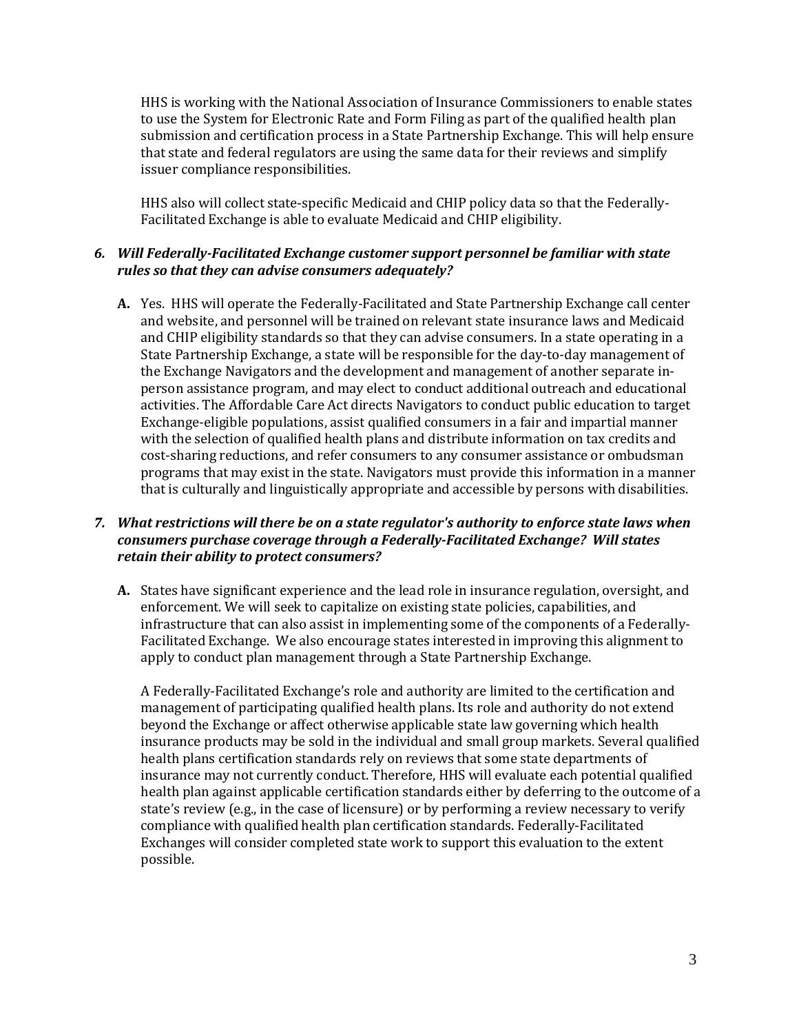to use the System for Electronic Rate and Form Filing as part of the qualified health plan submission and certification process in a State Partnership Exchange. This will help ensure that state and federal regulators are using the same data for their reviews and simplify HHS is working with the National Association of Insurance Commissioners to enable states issuer compliance responsibilities.

 HHS also will collect state-specific Medicaid and CHIP policy data so that the Federally-Facilitated Exchange is able to evaluate Medicaid and CHIP eligibility.

#### *6. Will Federally-Facilitated Exchange customer support personnel be familiar with state rules so that they can advise consumers adequately?*

 **A.** Yes. HHS will operate the Federally-Facilitated and State Partnership Exchange call center and website, and personnel will be trained on relevant state insurance laws and Medicaid and CHIP eligibility standards so that they can advise consumers. In a state operating in a the Exchange Navigators and the development and management of another separate in- person assistance program, and may elect to conduct additional outreach and educational activities. The Affordable Care Act directs Navigators to conduct public education to target Exchange-eligible populations, assist qualified consumers in a fair and impartial manner with the selection of qualified health plans and distribute information on tax credits and cost-sharing reductions, and refer consumers to any consumer assistance or ombudsman programs that may exist in the state. Navigators must provide this information in a manner that is culturally and linguistically appropriate and accessible by persons with disabilities. State Partnership Exchange, a state will be responsible for the day-to-day management of

#### *7. What restrictions will there be on a state regulator's authority to enforce state laws when consumers purchase coverage through a Federally-Facilitated Exchange? Will states retain their ability to protect consumers?*

 **A.** States have significant experience and the lead role in insurance regulation, oversight, and enforcement. We will seek to capitalize on existing state policies, capabilities, and infrastructure that can also assist in implementing some of the components of a Federally- Facilitated Exchange. We also encourage states interested in improving this alignment to apply to conduct plan management through a State Partnership Exchange.

 A Federally-Facilitated Exchange's role and authority are limited to the certification and management of participating qualified health plans. Its role and authority do not extend beyond the Exchange or affect otherwise applicable state law governing which health insurance products may be sold in the individual and small group markets. Several qualified health plans certification standards rely on reviews that some state departments of insurance may not currently conduct. Therefore, HHS will evaluate each potential qualified health plan against applicable certification standards either by deferring to the outcome of a state's review (e.g., in the case of licensure) or by performing a review necessary to verify compliance with qualified health plan certification standards. Federally-Facilitated Exchanges will consider completed state work to support this evaluation to the extent possible.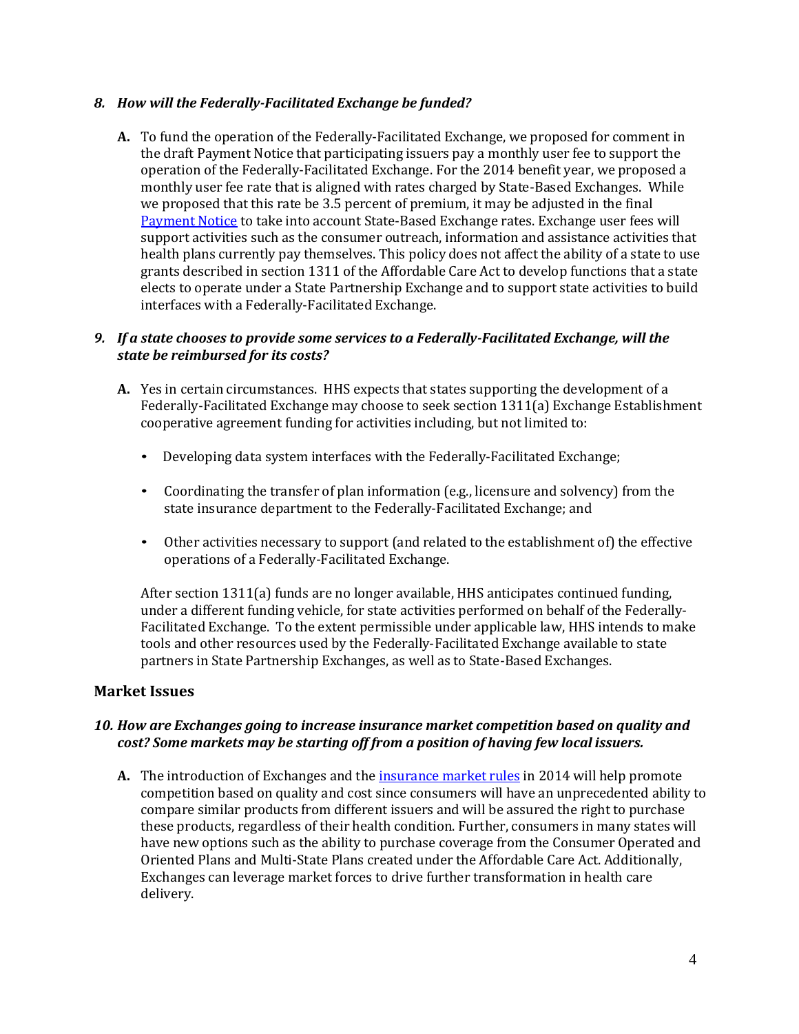# *8. How will the Federally-Facilitated Exchange be funded?*

 **A.** To fund the operation of the Federally-Facilitated Exchange, we proposed for comment in the draft Payment Notice that participating issuers pay a monthly user fee to support the operation of the Federally-Facilitated Exchange. For the 2014 benefit year, we proposed a monthly user fee rate that is aligned with rates charged by State-Based Exchanges. While we proposed that this rate be 3.5 percent of premium, it may be adjusted in the final [Payment Notice t](http://www.ofr.gov/OFRUpload/OFRData/2012-29184_PI.pdf)o take into account State-Based Exchange rates. Exchange user fees will support activities such as the consumer outreach, information and assistance activities that health plans currently pay themselves. This policy does not affect the ability of a state to use grants described in section 1311 of the Affordable Care Act to develop functions that a state interfaces with a Federally-Facilitated Exchange. elects to operate under a State Partnership Exchange and to support state activities to build

### *9. If a state chooses to provide some services to a Federally-Facilitated Exchange, will the state be reimbursed for its costs?*

- **A.** Yes in certain circumstances. HHS expects that states supporting the development of a Federally-Facilitated Exchange may choose to seek section 1311(a) Exchange Establishment cooperative agreement funding for activities including, but not limited to:
	- Developing data system interfaces with the Federally-Facilitated Exchange;
	- • Coordinating the transfer of plan information (e.g., licensure and solvency) from the state insurance department to the Federally-Facilitated Exchange; and
	- • Other activities necessary to support (and related to the establishment of) the effective operations of a Federally-Facilitated Exchange.

 After section 1311(a) funds are no longer available, HHS anticipates continued funding, under a different funding vehicle, for state activities performed on behalf of the Federally- Facilitated Exchange. To the extent permissible under applicable law, HHS intends to make tools and other resources used by the Federally-Facilitated Exchange available to state partners in State Partnership Exchanges, as well as to State-Based Exchanges.

# **Market Issues**

# *10. How are Exchanges going to increase insurance market competition based on quality and cost? Some markets may be starting off from a position of having few local issuers.*

 **A.** The introduction of Exchanges and th[e insurance market rules i](http://www.gpo.gov/fdsys/pkg/FR-2012-11-26/pdf/2012-28428.pdf)n 2014 will help promote competition based on quality and cost since consumers will have an unprecedented ability to compare similar products from different issuers and will be assured the right to purchase these products, regardless of their health condition. Further, consumers in many states will have new options such as the ability to purchase coverage from the Consumer Operated and Oriented Plans and Multi-State Plans created under the Affordable Care Act. Additionally, Exchanges can leverage market forces to drive further transformation in health care delivery.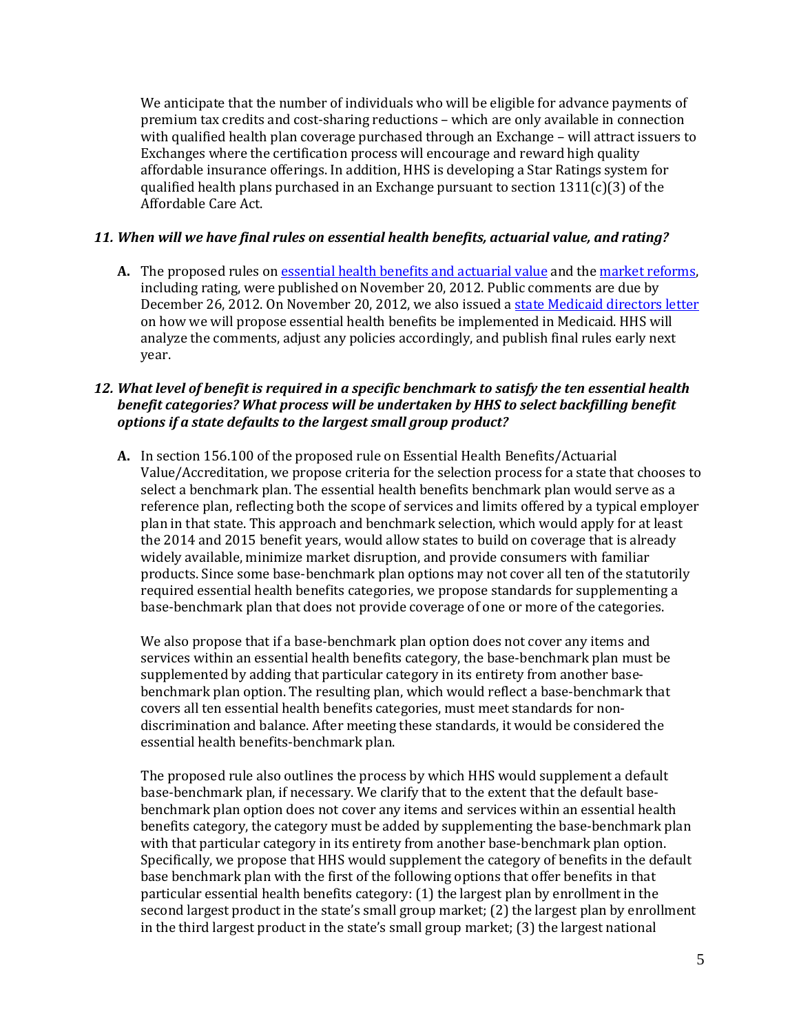We anticipate that the number of individuals who will be eligible for advance payments of premium tax credits and cost-sharing reductions – which are only available in connection with qualified health plan coverage purchased through an Exchange – will attract issuers to Exchanges where the certification process will encourage and reward high quality affordable insurance offerings. In addition, HHS is developing a Star Ratings system for qualified health plans purchased in an Exchange pursuant to section 1311(c)(3) of the Affordable Care Act.

# *11. When will we have final rules on essential health benefits, actuarial value, and rating?*

 **A.** The proposed rules o[n essential health benefits and actuarial value a](http://www.gpo.gov/fdsys/pkg/FR-2012-11-26/pdf/2012-28362.pdf)nd the [market reforms,](http://www.gpo.gov/fdsys/pkg/FR-2012-11-26/pdf/2012-28428.pdf) including rating, were published on November 20, 2012. Public comments are due by December 26, 2012. On November 20, 2012, we also issued a <u>state Medicaid directors letter</u> on how we will propose essential health benefits be implemented in Medicaid. HHS will analyze the comments, adjust any policies accordingly, and publish final rules early next year.

# *12. What level of benefit is required in a specific benchmark to satisfy the ten essential health benefit categories? What process will be undertaken by HHS to select backfilling benefit options if a state defaults to the largest small group product?*

 **A.** In section 156.100 of the proposed rule on Essential Health Benefits/Actuarial Value/Accreditation, we propose criteria for the selection process for a state that chooses to select a benchmark plan. The essential health benefits benchmark plan would serve as a reference plan, reflecting both the scope of services and limits offered by a typical employer plan in that state. This approach and benchmark selection, which would apply for at least the 2014 and 2015 benefit years, would allow states to build on coverage that is already widely available, minimize market disruption, and provide consumers with familiar products. Since some base-benchmark plan options may not cover all ten of the statutorily required essential health benefits categories, we propose standards for supplementing a base-benchmark plan that does not provide coverage of one or more of the categories.

 We also propose that if a base-benchmark plan option does not cover any items and services within an essential health benefits category, the base-benchmark plan must be supplemented by adding that particular category in its entirety from another base- benchmark plan option. The resulting plan, which would reflect a base-benchmark that covers all ten essential health benefits categories, must meet standards for non- discrimination and balance. After meeting these standards, it would be considered the essential health benefits-benchmark plan.

 The proposed rule also outlines the process by which HHS would supplement a default base-benchmark plan, if necessary. We clarify that to the extent that the default base- benchmark plan option does not cover any items and services within an essential health benefits category, the category must be added by supplementing the base-benchmark plan with that particular category in its entirety from another base-benchmark plan option. Specifically, we propose that HHS would supplement the category of benefits in the default base benchmark plan with the first of the following options that offer benefits in that particular essential health benefits category: (1) the largest plan by enrollment in the second largest product in the state's small group market; (2) the largest plan by enrollment in the third largest product in the state's small group market; (3) the largest national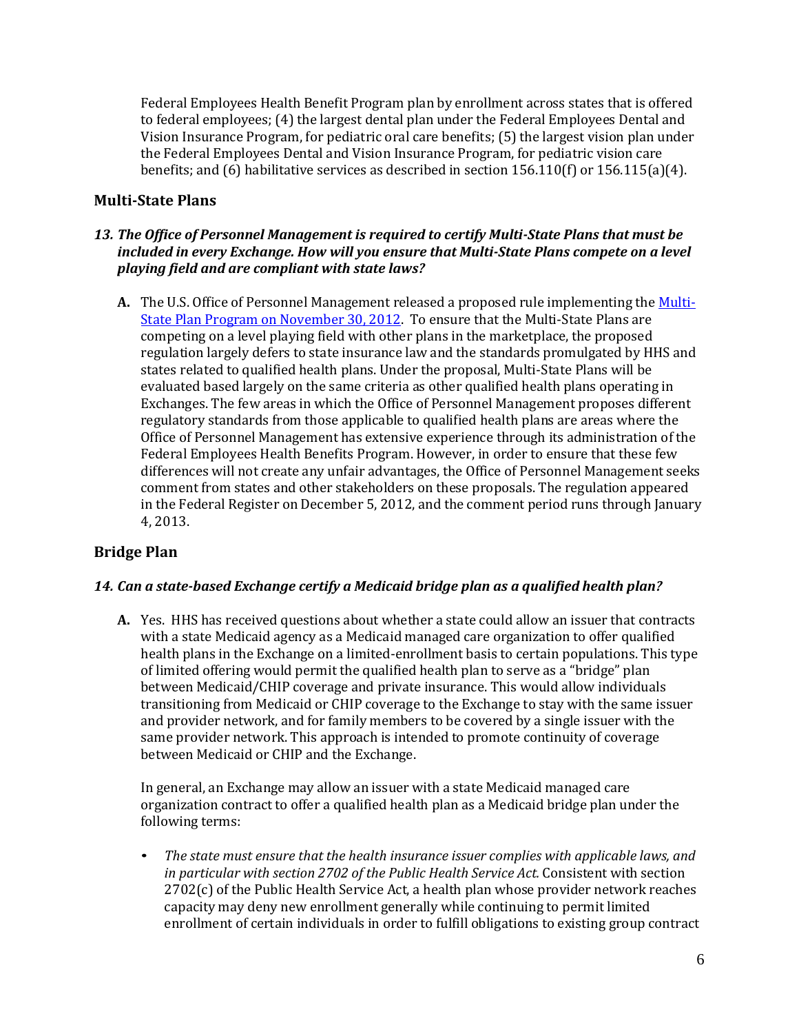Federal Employees Health Benefit Program plan by enrollment across states that is offered to federal employees; (4) the largest dental plan under the Federal Employees Dental and Vision Insurance Program, for pediatric oral care benefits; (5) the largest vision plan under the Federal Employees Dental and Vision Insurance Program, for pediatric vision care benefits; and (6) habilitative services as described in section 156.110(f) or 156.115(a)(4).

# **Multi-State Plans**

# *13. The Office of Personnel Management is required to certify Multi-State Plans that must be included in every Exchange. How will you ensure that Multi-State Plans compete on a level playing field and are compliant with state laws?*

 **A.** The U.S. Office of Personnel Management released a proposed rule implementing the [Multi-](http://www.gpo.gov/fdsys/pkg/FR-2012-12-05/pdf/2012-29118.pdf) [State Plan Program on November 30, 2012. T](http://www.gpo.gov/fdsys/pkg/FR-2012-12-05/pdf/2012-29118.pdf)o ensure that the Multi-State Plans are competing on a level playing field with other plans in the marketplace, the proposed regulation largely defers to state insurance law and the standards promulgated by HHS and states related to qualified health plans. Under the proposal, Multi-State Plans will be evaluated based largely on the same criteria as other qualified health plans operating in Exchanges. The few areas in which the Office of Personnel Management proposes different regulatory standards from those applicable to qualified health plans are areas where the Office of Personnel Management has extensive experience through its administration of the Federal Employees Health Benefits Program. However, in order to ensure that these few differences will not create any unfair advantages, the Office of Personnel Management seeks comment from states and other stakeholders on these proposals. The regulation appeared in the Federal Register on December 5, 2012, and the comment period runs through January 4, 2013.

# **Bridge Plan**

# *14. Can a state-based Exchange certify a Medicaid bridge plan as a qualified health plan?*

 **A.** Yes. HHS has received questions about whether a state could allow an issuer that contracts with a state Medicaid agency as a Medicaid managed care organization to offer qualified health plans in the Exchange on a limited-enrollment basis to certain populations. This type of limited offering would permit the qualified health plan to serve as a "bridge" plan between Medicaid/CHIP coverage and private insurance. This would allow individuals transitioning from Medicaid or CHIP coverage to the Exchange to stay with the same issuer and provider network, and for family members to be covered by a single issuer with the same provider network. This approach is intended to promote continuity of coverage between Medicaid or CHIP and the Exchange.

 In general, an Exchange may allow an issuer with a state Medicaid managed care organization contract to offer a qualified health plan as a Medicaid bridge plan under the following terms:

• The state must ensure that the health insurance issuer complies with applicable laws, and  *in particular with section 2702 of the Public Health Service Act.* Consistent with section 2702(c) of the Public Health Service Act, a health plan whose provider network reaches capacity may deny new enrollment generally while continuing to permit limited enrollment of certain individuals in order to fulfill obligations to existing group contract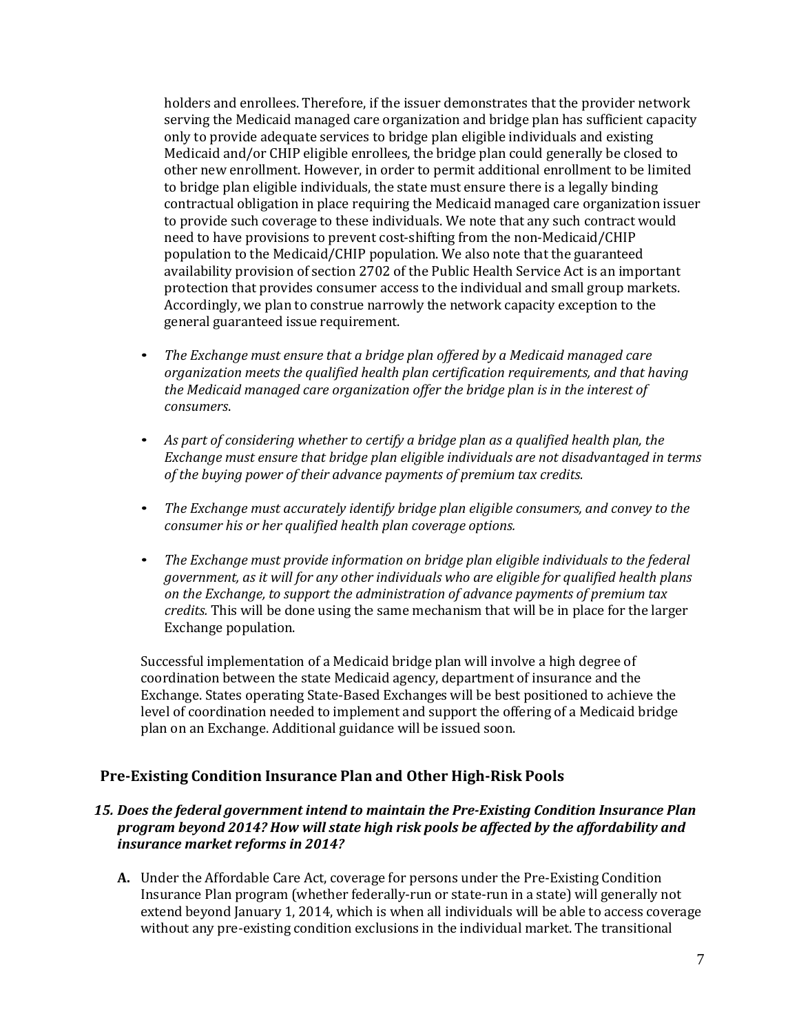holders and enrollees. Therefore, if the issuer demonstrates that the provider network serving the Medicaid managed care organization and bridge plan has sufficient capacity only to provide adequate services to bridge plan eligible individuals and existing Medicaid and/or CHIP eligible enrollees, the bridge plan could generally be closed to other new enrollment. However, in order to permit additional enrollment to be limited to bridge plan eligible individuals, the state must ensure there is a legally binding contractual obligation in place requiring the Medicaid managed care organization issuer to provide such coverage to these individuals. We note that any such contract would need to have provisions to prevent cost-shifting from the non-Medicaid/CHIP availability provision of section 2702 of the Public Health Service Act is an important protection that provides consumer access to the individual and small group markets. Accordingly, we plan to construe narrowly the network capacity exception to the general guaranteed issue requirement. population to the Medicaid/CHIP population. We also note that the guaranteed

- The Exchange must ensure that a bridge plan offered by a Medicaid managed care  *organization meets the qualified health plan certification requirements, and that having the Medicaid managed care organization offer the bridge plan is in the interest of consumers*.
- As part of considering whether to certify a bridge plan as a qualified health plan, the  *Exchange must ensure that bridge plan eligible individuals are not disadvantaged in terms of the buying power of their advance payments of premium tax credits.*
- The Exchange must accurately identify bridge plan eligible consumers, and convey to the  *consumer his or her qualified health plan coverage options.*
- The Exchange must provide information on bridge plan eligible individuals to the federal  *government, as it will for any other individuals who are eligible for qualified health plans on the Exchange, to support the administration of advance payments of premium tax credits.* This will be done using the same mechanism that will be in place for the larger Exchange population.

 Successful implementation of a Medicaid bridge plan will involve a high degree of coordination between the state Medicaid agency, department of insurance and the Exchange. States operating State-Based Exchanges will be best positioned to achieve the level of coordination needed to implement and support the offering of a Medicaid bridge plan on an Exchange. Additional guidance will be issued soon.

# **Pre-Existing Condition Insurance Plan and Other High-Risk Pools**

### *15. Does the federal government intend to maintain the Pre-Existing Condition Insurance Plan program beyond 2014? How will state high risk pools be affected by the affordability and insurance market reforms in 2014?*

 **A.** Under the Affordable Care Act, coverage for persons under the Pre-Existing Condition Insurance Plan program (whether federally-run or state-run in a state) will generally not extend beyond January 1, 2014, which is when all individuals will be able to access coverage without any pre-existing condition exclusions in the individual market. The transitional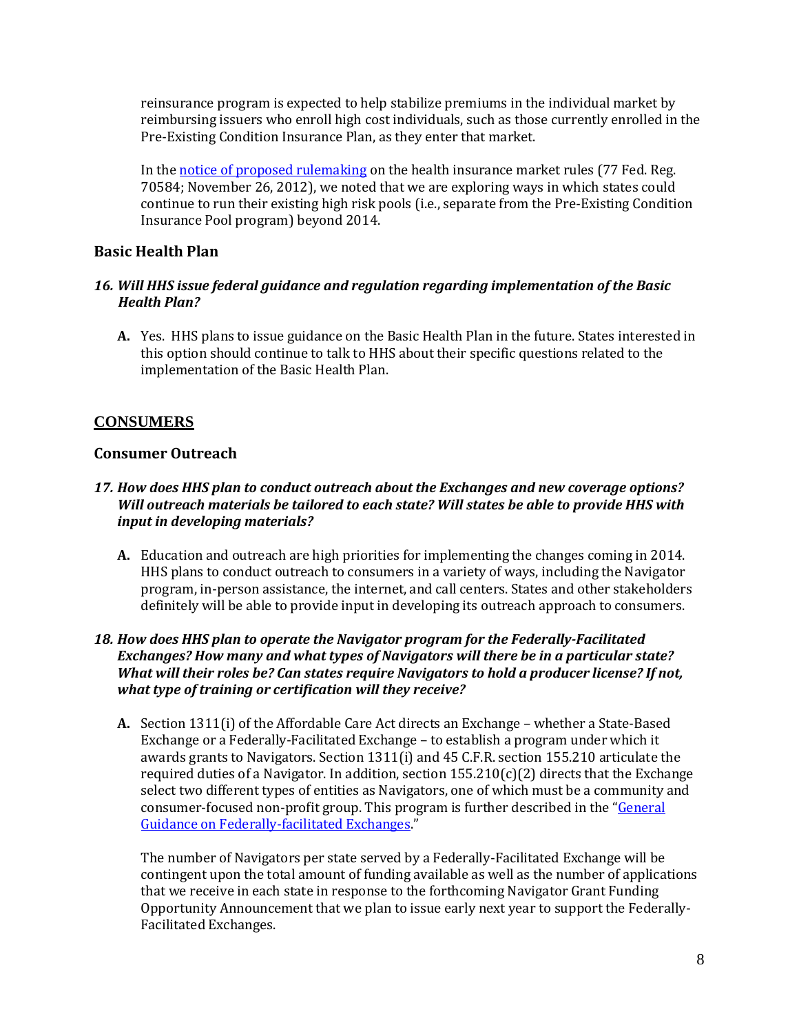reinsurance program is expected to help stabilize premiums in the individual market by reimbursing issuers who enroll high cost individuals, such as those currently enrolled in the Pre-Existing Condition Insurance Plan, as they enter that market.

In the <u>notice of proposed rulemakin</u>g on the health insurance market rules (77 Fed. Reg. 70584; November 26, 2012), we noted that we are exploring ways in which states could continue to run their existing high risk pools (i.e., separate from the Pre-Existing Condition Insurance Pool program) beyond 2014.

# **Basic Health Plan**

### *16. Will HHS issue federal guidance and regulation regarding implementation of the Basic Health Plan?*

 **A.** Yes. HHS plans to issue guidance on the Basic Health Plan in the future. States interested in this option should continue to talk to HHS about their specific questions related to the implementation of the Basic Health Plan.

# **CONSUMERS**

# **Consumer Outreach**

# *17. How does HHS plan to conduct outreach about the Exchanges and new coverage options? Will outreach materials be tailored to each state? Will states be able to provide HHS with input in developing materials?*

 **A.** Education and outreach are high priorities for implementing the changes coming in 2014. HHS plans to conduct outreach to consumers in a variety of ways, including the Navigator program, in-person assistance, the internet, and call centers. States and other stakeholders definitely will be able to provide input in developing its outreach approach to consumers.

### *18. How does HHS plan to operate the Navigator program for the Federally-Facilitated Exchanges? How many and what types of Navigators will there be in a particular state? What will their roles be? Can states require Navigators to hold a producer license? If not, what type of training or certification will they receive?*

 **A.** Section 1311(i) of the Affordable Care Act directs an Exchange – whether a State-Based Exchange or a Federally-Facilitated Exchange – to establish a program under which it awards grants to Navigators. Section 1311(i) and 45 C.F.R. section 155.210 articulate the required duties of a Navigator. In addition, section 155.210(c)(2) directs that the Exchange select two different types of entities as Navigators, one of which must be a community and consumer-focused non-profit group. This program is further described in the "<u>General</u> [Guidance on Federally-facilitated Exchanges."](http://cciio.cms.gov/resources/files/FFE_Guidance_FINAL_VERSION_051612.pdf)

 The number of Navigators per state served by a Federally-Facilitated Exchange will be contingent upon the total amount of funding available as well as the number of applications that we receive in each state in response to the forthcoming Navigator Grant Funding Opportunity Announcement that we plan to issue early next year to support the Federally-Facilitated Exchanges.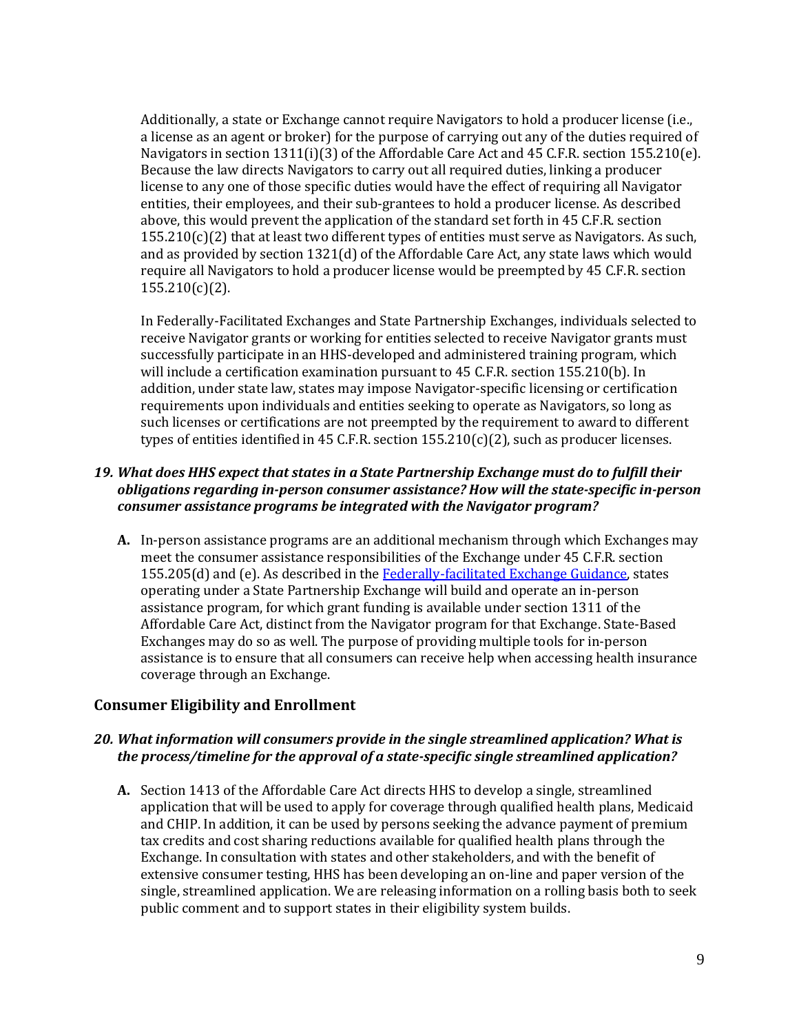Additionally, a state or Exchange cannot require Navigators to hold a producer license (i.e., a license as an agent or broker) for the purpose of carrying out any of the duties required of Navigators in section 1311(i)(3) of the Affordable Care Act and 45 C.F.R. section 155.210(e). Because the law directs Navigators to carry out all required duties, linking a producer license to any one of those specific duties would have the effect of requiring all Navigator entities, their employees, and their sub-grantees to hold a producer license. As described above, this would prevent the application of the standard set forth in 45 C.F.R. section 155.210(c)(2) that at least two different types of entities must serve as Navigators. As such, and as provided by section 1321(d) of the Affordable Care Act, any state laws which would require all Navigators to hold a producer license would be preempted by 45 C.F.R. section 155.210(c)(2).

 In Federally-Facilitated Exchanges and State Partnership Exchanges, individuals selected to receive Navigator grants or working for entities selected to receive Navigator grants must successfully participate in an HHS-developed and administered training program, which will include a certification examination pursuant to 45 C.F.R. section 155.210(b). In addition, under state law, states may impose Navigator-specific licensing or certification requirements upon individuals and entities seeking to operate as Navigators, so long as such licenses or certifications are not preempted by the requirement to award to different types of entities identified in 45 C.F.R. section 155.210(c)(2), such as producer licenses.

# *19. What does HHS expect that states in a State Partnership Exchange must do to fulfill their obligations regarding in-person consumer assistance? How will the state-specific in-person consumer assistance programs be integrated with the Navigator program?*

 **A.** In-person assistance programs are an additional mechanism through which Exchanges may 155.205(d) and (e). As described in the <u>Federally-facilitated Exchange Guidance</u>, states operating under a State Partnership Exchange will build and operate an in-person assistance program, for which grant funding is available under section 1311 of the Affordable Care Act, distinct from the Navigator program for that Exchange. State-Based Exchanges may do so as well. The purpose of providing multiple tools for in-person assistance is to ensure that all consumers can receive help when accessing health insurance coverage through an Exchange. meet the consumer assistance responsibilities of the Exchange under 45 C.F.R. section

# **Consumer Eligibility and Enrollment**

### *20. What information will consumers provide in the single streamlined application? What is the process/timeline for the approval of a state-specific single streamlined application?*

 **A.** Section 1413 of the Affordable Care Act directs HHS to develop a single, streamlined application that will be used to apply for coverage through qualified health plans, Medicaid and CHIP. In addition, it can be used by persons seeking the advance payment of premium tax credits and cost sharing reductions available for qualified health plans through the Exchange. In consultation with states and other stakeholders, and with the benefit of extensive consumer testing, HHS has been developing an on-line and paper version of the single, streamlined application. We are releasing information on a rolling basis both to seek public comment and to support states in their eligibility system builds.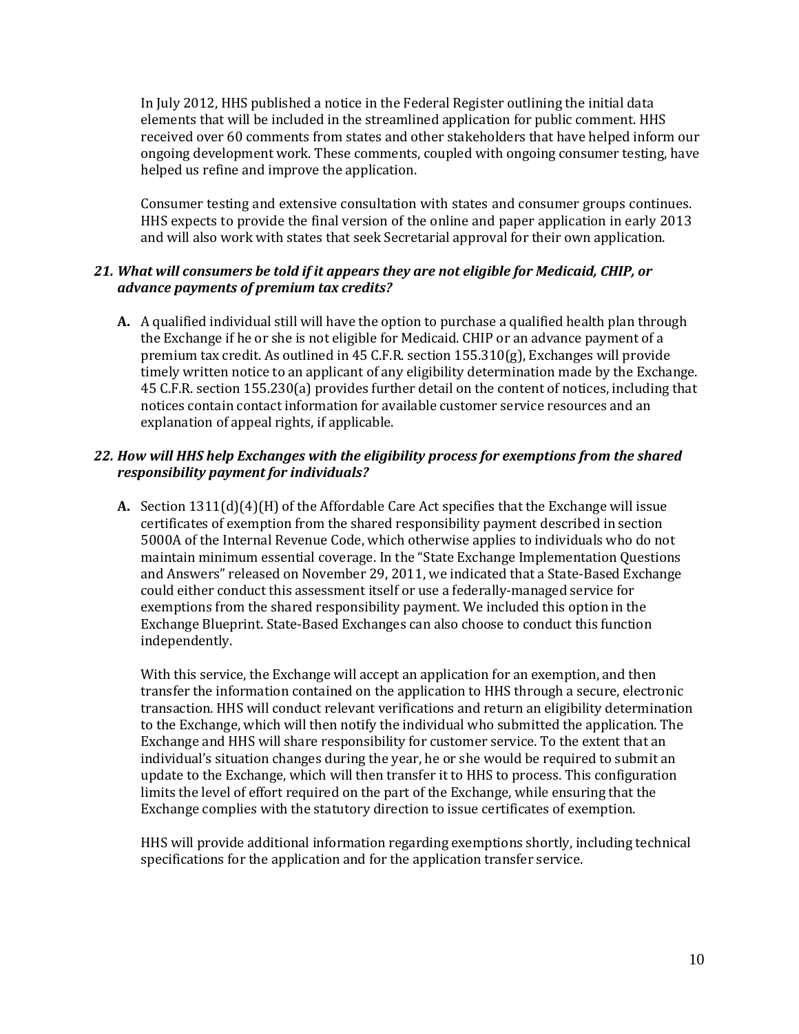In July 2012, HHS published a notice in the Federal Register outlining the initial data elements that will be included in the streamlined application for public comment. HHS received over 60 comments from states and other stakeholders that have helped inform our ongoing development work. These comments, coupled with ongoing consumer testing, have helped us refine and improve the application.

 Consumer testing and extensive consultation with states and consumer groups continues. HHS expects to provide the final version of the online and paper application in early 2013 and will also work with states that seek Secretarial approval for their own application.

# *21. What will consumers be told if it appears they are not eligible for Medicaid, CHIP, or advance payments of premium tax credits?*

 **A.** A qualified individual still will have the option to purchase a qualified health plan through the Exchange if he or she is not eligible for Medicaid. CHIP or an advance payment of a premium tax credit. As outlined in 45 C.F.R. section 155.310(g), Exchanges will provide timely written notice to an applicant of any eligibility determination made by the Exchange. 45 C.F.R. section 155.230(a) provides further detail on the content of notices, including that notices contain contact information for available customer service resources and an explanation of appeal rights, if applicable.

### *22. How will HHS help Exchanges with the eligibility process for exemptions from the shared responsibility payment for individuals?*

 **A.** Section 1311(d)(4)(H) of the Affordable Care Act specifies that the Exchange will issue certificates of exemption from the shared responsibility payment described in section 5000A of the Internal Revenue Code, which otherwise applies to individuals who do not maintain minimum essential coverage. In the "State Exchange Implementation Questions and Answers" released on November 29, 2011, we indicated that a State-Based Exchange could either conduct this assessment itself or use a federally-managed service for exemptions from the shared responsibility payment. We included this option in the Exchange Blueprint. State-Based Exchanges can also choose to conduct this function independently.

 With this service, the Exchange will accept an application for an exemption, and then transfer the information contained on the application to HHS through a secure, electronic transaction. HHS will conduct relevant verifications and return an eligibility determination to the Exchange, which will then notify the individual who submitted the application. The Exchange and HHS will share responsibility for customer service. To the extent that an individual's situation changes during the year, he or she would be required to submit an update to the Exchange, which will then transfer it to HHS to process. This configuration limits the level of effort required on the part of the Exchange, while ensuring that the Exchange complies with the statutory direction to issue certificates of exemption.

 HHS will provide additional information regarding exemptions shortly, including technical specifications for the application and for the application transfer service.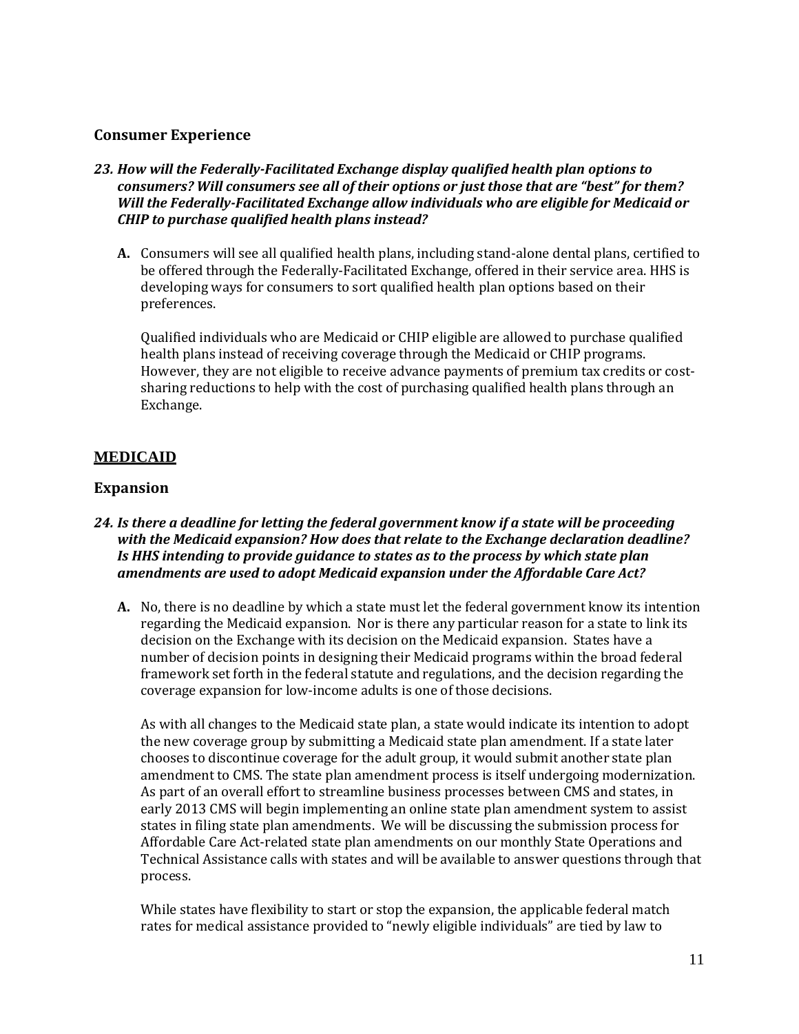# **Consumer Experience**

- *23. How will the Federally-Facilitated Exchange display qualified health plan options to consumers? Will consumers see all of their options or just those that are "best" for them? CHIP to purchase qualified health plans instead? Will the Federally-Facilitated Exchange allow individuals who are eligible for Medicaid or* 
	- **A.** Consumers will see all qualified health plans, including stand-alone dental plans, certified to be offered through the Federally-Facilitated Exchange, offered in their service area. HHS is developing ways for consumers to sort qualified health plan options based on their preferences.

 Qualified individuals who are Medicaid or CHIP eligible are allowed to purchase qualified health plans instead of receiving coverage through the Medicaid or CHIP programs. However, they are not eligible to receive advance payments of premium tax credits or cost- sharing reductions to help with the cost of purchasing qualified health plans through an Exchange.

# **MEDICAID**

# **Expansion**

#### *24. Is there a deadline for letting the federal government know if a state will be proceeding with the Medicaid expansion? How does that relate to the Exchange declaration deadline? Is HHS intending to provide guidance to states as to the process by which state plan amendments are used to adopt Medicaid expansion under the Affordable Care Act?*

 **A.** No, there is no deadline by which a state must let the federal government know its intention regarding the Medicaid expansion. Nor is there any particular reason for a state to link its decision on the Exchange with its decision on the Medicaid expansion. States have a number of decision points in designing their Medicaid programs within the broad federal framework set forth in the federal statute and regulations, and the decision regarding the coverage expansion for low-income adults is one of those decisions.

 As with all changes to the Medicaid state plan, a state would indicate its intention to adopt the new coverage group by submitting a Medicaid state plan amendment. If a state later chooses to discontinue coverage for the adult group, it would submit another state plan amendment to CMS. The state plan amendment process is itself undergoing modernization. As part of an overall effort to streamline business processes between CMS and states, in early 2013 CMS will begin implementing an online state plan amendment system to assist states in filing state plan amendments. We will be discussing the submission process for Affordable Care Act-related state plan amendments on our monthly State Operations and Technical Assistance calls with states and will be available to answer questions through that process.

 While states have flexibility to start or stop the expansion, the applicable federal match rates for medical assistance provided to "newly eligible individuals" are tied by law to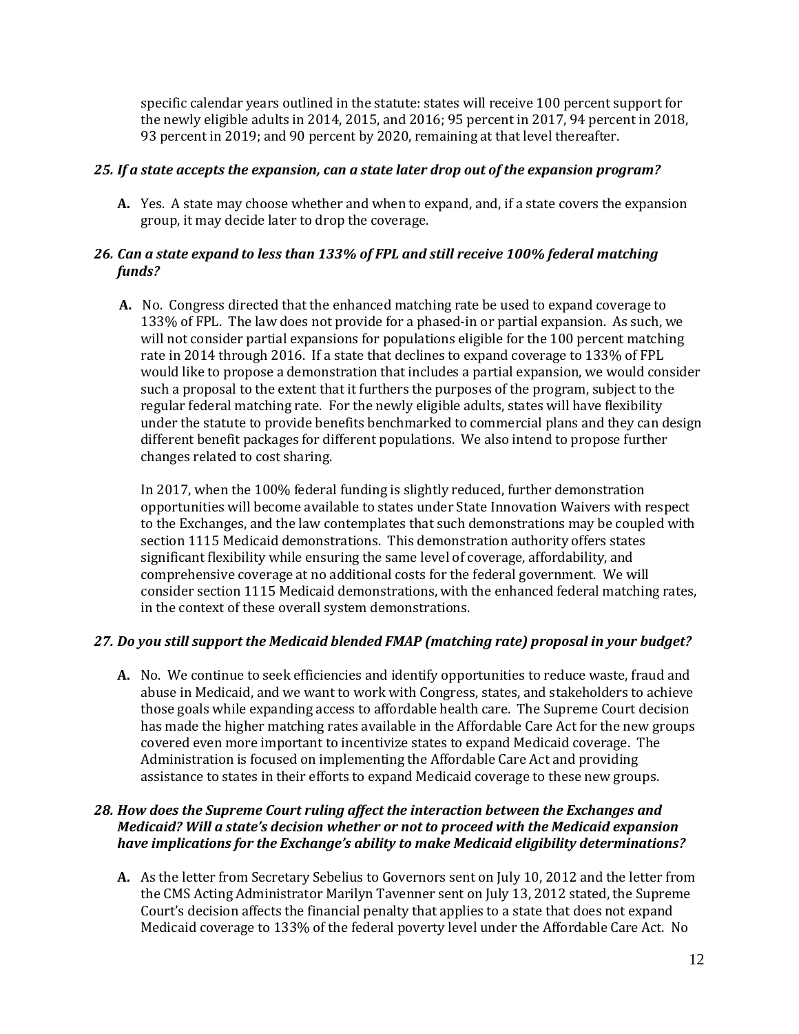specific calendar years outlined in the statute: states will receive 100 percent support for the newly eligible adults in 2014, 2015, and 2016; 95 percent in 2017, 94 percent in 2018, 93 percent in 2019; and 90 percent by 2020, remaining at that level thereafter.

#### *25. If a state accepts the expansion, can a state later drop out of the expansion program?*

 **A.** Yes. A state may choose whether and when to expand, and, if a state covers the expansion group, it may decide later to drop the coverage.

# *26. Can a state expand to less than 133% of FPL and still receive 100% federal matching funds?*

 **A.** No. Congress directed that the enhanced matching rate be used to expand coverage to 133% of FPL. The law does not provide for a phased-in or partial expansion. As such, we will not consider partial expansions for populations eligible for the 100 percent matching rate in 2014 through 2016. If a state that declines to expand coverage to 133% of FPL would like to propose a demonstration that includes a partial expansion, we would consider such a proposal to the extent that it furthers the purposes of the program, subject to the regular federal matching rate. For the newly eligible adults, states will have flexibility under the statute to provide benefits benchmarked to commercial plans and they can design different benefit packages for different populations. We also intend to propose further changes related to cost sharing.

 In 2017, when the 100% federal funding is slightly reduced, further demonstration opportunities will become available to states under State Innovation Waivers with respect to the Exchanges, and the law contemplates that such demonstrations may be coupled with section 1115 Medicaid demonstrations. This demonstration authority offers states significant flexibility while ensuring the same level of coverage, affordability, and comprehensive coverage at no additional costs for the federal government. We will consider section 1115 Medicaid demonstrations, with the enhanced federal matching rates, in the context of these overall system demonstrations.

# *27. Do you still support the Medicaid blended FMAP (matching rate) proposal in your budget?*

 **A.** No. We continue to seek efficiencies and identify opportunities to reduce waste, fraud and abuse in Medicaid, and we want to work with Congress, states, and stakeholders to achieve those goals while expanding access to affordable health care. The Supreme Court decision has made the higher matching rates available in the Affordable Care Act for the new groups covered even more important to incentivize states to expand Medicaid coverage. The Administration is focused on implementing the Affordable Care Act and providing assistance to states in their efforts to expand Medicaid coverage to these new groups.

# *28. How does the Supreme Court ruling affect the interaction between the Exchanges and Medicaid? Will a state's decision whether or not to proceed with the Medicaid expansion have implications for the Exchange's ability to make Medicaid eligibility determinations?*

 **A.** As the letter from Secretary Sebelius to Governors sent on July 10, 2012 and the letter from the CMS Acting Administrator Marilyn Tavenner sent on July 13, 2012 stated, the Supreme Court's decision affects the financial penalty that applies to a state that does not expand Medicaid coverage to 133% of the federal poverty level under the Affordable Care Act. No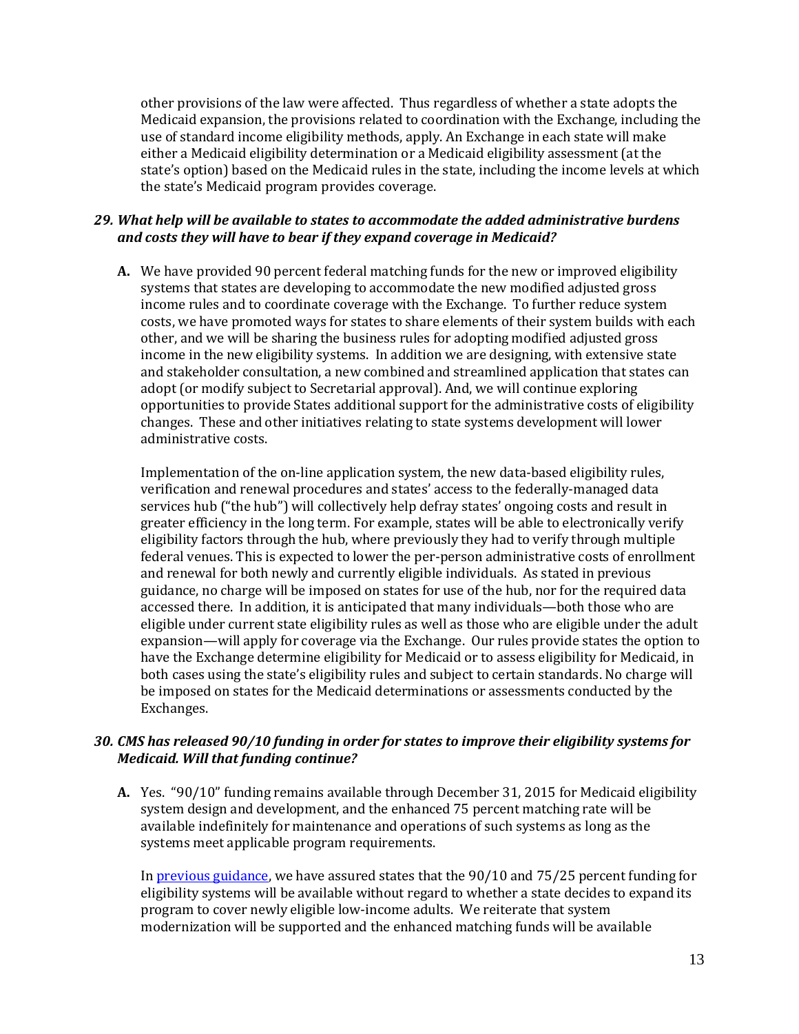other provisions of the law were affected. Thus regardless of whether a state adopts the Medicaid expansion, the provisions related to coordination with the Exchange, including the use of standard income eligibility methods, apply. An Exchange in each state will make either a Medicaid eligibility determination or a Medicaid eligibility assessment (at the state's option) based on the Medicaid rules in the state, including the income levels at which the state's Medicaid program provides coverage.

# *29. What help will be available to states to accommodate the added administrative burdens and costs they will have to bear if they expand coverage in Medicaid?*

 **A.** We have provided 90 percent federal matching funds for the new or improved eligibility systems that states are developing to accommodate the new modified adjusted gross income rules and to coordinate coverage with the Exchange. To further reduce system costs, we have promoted ways for states to share elements of their system builds with each other, and we will be sharing the business rules for adopting modified adjusted gross income in the new eligibility systems. In addition we are designing, with extensive state and stakeholder consultation, a new combined and streamlined application that states can adopt (or modify subject to Secretarial approval). And, we will continue exploring opportunities to provide States additional support for the administrative costs of eligibility changes. These and other initiatives relating to state systems development will lower administrative costs.

 Implementation of the on-line application system, the new data-based eligibility rules, verification and renewal procedures and states' access to the federally-managed data services hub ("the hub") will collectively help defray states' ongoing costs and result in greater efficiency in the long term. For example, states will be able to electronically verify eligibility factors through the hub, where previously they had to verify through multiple federal venues. This is expected to lower the per-person administrative costs of enrollment and renewal for both newly and currently eligible individuals. As stated in previous guidance, no charge will be imposed on states for use of the hub, nor for the required data accessed there. In addition, it is anticipated that many individuals—both those who are eligible under current state eligibility rules as well as those who are eligible under the adult expansion—will apply for coverage via the Exchange. Our rules provide states the option to have the Exchange determine eligibility for Medicaid or to assess eligibility for Medicaid, in both cases using the state's eligibility rules and subject to certain standards. No charge will be imposed on states for the Medicaid determinations or assessments conducted by the Exchanges.

# *30. CMS has released 90/10 funding in order for states to improve their eligibility systems for Medicaid. Will that funding continue?*

 **A.** Yes. "90/10" funding remains available through December 31, 2015 for Medicaid eligibility system design and development, and the enhanced 75 percent matching rate will be available indefinitely for maintenance and operations of such systems as long as the systems meet applicable program requirements.

In <u>previous guidance</u>, we have assured states that the 90/10 and 75/25 percent funding for eligibility systems will be available without regard to whether a state decides to expand its program to cover newly eligible low-income adults. We reiterate that system modernization will be supported and the enhanced matching funds will be available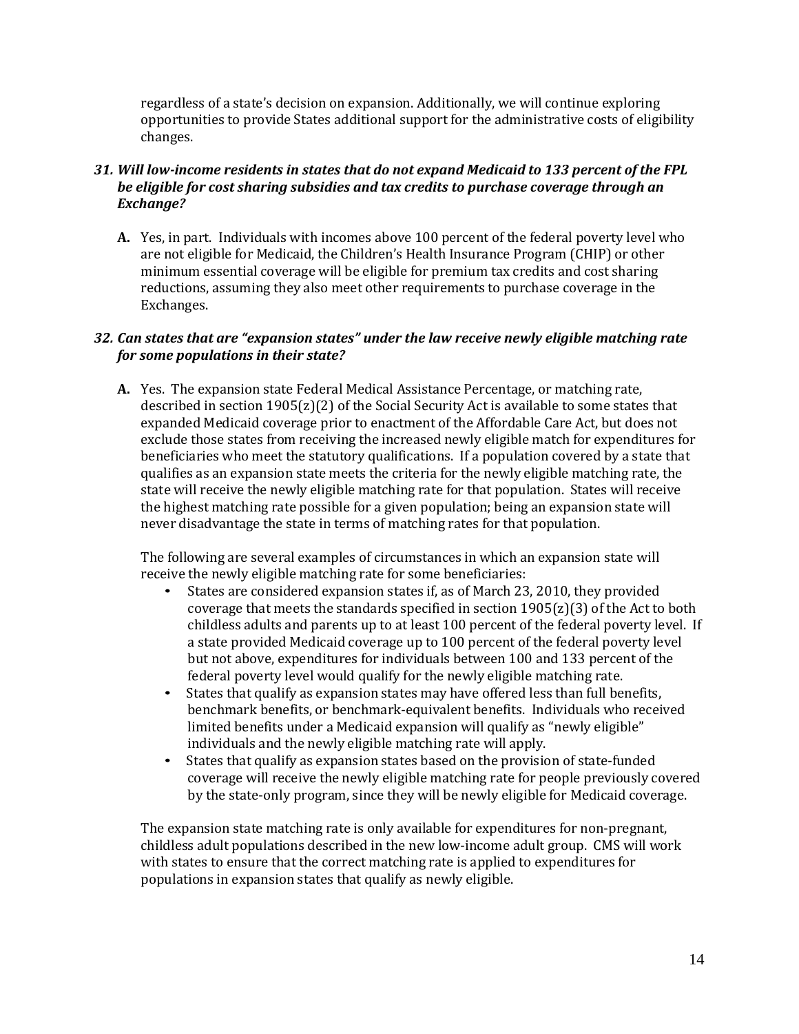regardless of a state's decision on expansion. Additionally, we will continue exploring opportunities to provide States additional support for the administrative costs of eligibility changes.

### *31. Will low-income residents in states that do not expand Medicaid to 133 percent of the FPL be eligible for cost sharing subsidies and tax credits to purchase coverage through an Exchange?*

 **A.** Yes, in part. Individuals with incomes above 100 percent of the federal poverty level who are not eligible for Medicaid, the Children's Health Insurance Program (CHIP) or other minimum essential coverage will be eligible for premium tax credits and cost sharing reductions, assuming they also meet other requirements to purchase coverage in the Exchanges.

### *32. Can states that are "expansion states" under the law receive newly eligible matching rate for some populations in their state?*

 **A.** Yes. The expansion state Federal Medical Assistance Percentage, or matching rate, described in section 1905(z)(2) of the Social Security Act is available to some states that expanded Medicaid coverage prior to enactment of the Affordable Care Act, but does not exclude those states from receiving the increased newly eligible match for expenditures for beneficiaries who meet the statutory qualifications. If a population covered by a state that qualifies as an expansion state meets the criteria for the newly eligible matching rate, the state will receive the newly eligible matching rate for that population. States will receive the highest matching rate possible for a given population; being an expansion state will never disadvantage the state in terms of matching rates for that population.

 The following are several examples of circumstances in which an expansion state will receive the newly eligible matching rate for some beneficiaries:

- • States are considered expansion states if, as of March 23, 2010, they provided coverage that meets the standards specified in section 1905(z)(3) of the Act to both childless adults and parents up to at least 100 percent of the federal poverty level. If a state provided Medicaid coverage up to 100 percent of the federal poverty level but not above, expenditures for individuals between 100 and 133 percent of the federal poverty level would qualify for the newly eligible matching rate.
- • States that qualify as expansion states may have offered less than full benefits, benchmark benefits, or benchmark-equivalent benefits. Individuals who received limited benefits under a Medicaid expansion will qualify as "newly eligible" individuals and the newly eligible matching rate will apply.
- • States that qualify as expansion states based on the provision of state-funded coverage will receive the newly eligible matching rate for people previously covered by the state-only program, since they will be newly eligible for Medicaid coverage.

 The expansion state matching rate is only available for expenditures for non-pregnant, childless adult populations described in the new low-income adult group. CMS will work with states to ensure that the correct matching rate is applied to expenditures for populations in expansion states that qualify as newly eligible.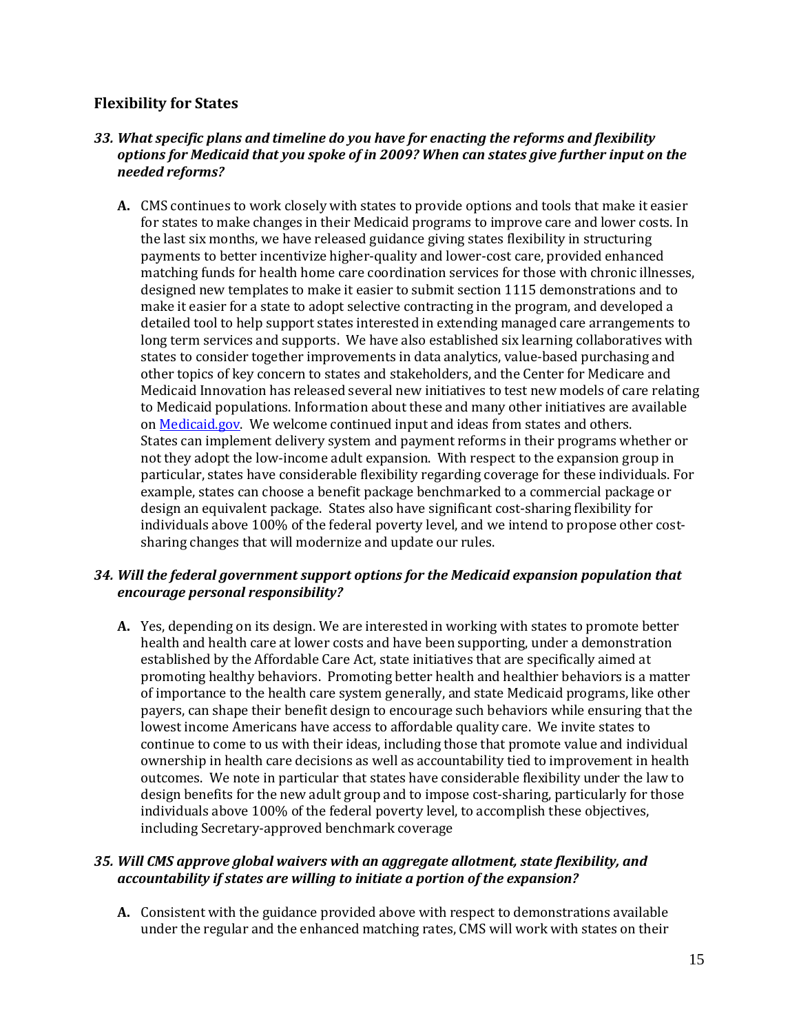# **Flexibility for States**

# *33. What specific plans and timeline do you have for enacting the reforms and flexibility options for Medicaid that you spoke of in 2009? When can states give further input on the needed reforms?*

 **A.** CMS continues to work closely with states to provide options and tools that make it easier for states to make changes in their Medicaid programs to improve care and lower costs. In the last six months, we have released guidance giving states flexibility in structuring payments to better incentivize higher-quality and lower-cost care, provided enhanced matching funds for health home care coordination services for those with chronic illnesses, designed new templates to make it easier to submit section 1115 demonstrations and to make it easier for a state to adopt selective contracting in the program, and developed a detailed tool to help support states interested in extending managed care arrangements to long term services and supports. We have also established six learning collaboratives with states to consider together improvements in data analytics, value-based purchasing and other topics of key concern to states and stakeholders, and the Center for Medicare and Medicaid Innovation has released several new initiatives to test new models of care relating to Medicaid populations. Information about these and many other initiatives are available on <u>Medicaid.gov</u>. We welcome continued input and ideas from states and others. States can implement delivery system and payment reforms in their programs whether or not they adopt the low-income adult expansion. With respect to the expansion group in particular, states have considerable flexibility regarding coverage for these individuals. For example, states can choose a benefit package benchmarked to a commercial package or design an equivalent package. States also have significant cost-sharing flexibility for individuals above 100% of the federal poverty level, and we intend to propose other cost-sharing changes that will modernize and update our rules.

# *34. Will the federal government support options for the Medicaid expansion population that encourage personal responsibility?*

 **A.** Yes, depending on its design. We are interested in working with states to promote better health and health care at lower costs and have been supporting, under a demonstration established by the Affordable Care Act, state initiatives that are specifically aimed at promoting healthy behaviors. Promoting better health and healthier behaviors is a matter of importance to the health care system generally, and state Medicaid programs, like other payers, can shape their benefit design to encourage such behaviors while ensuring that the lowest income Americans have access to affordable quality care. We invite states to continue to come to us with their ideas, including those that promote value and individual ownership in health care decisions as well as accountability tied to improvement in health outcomes. We note in particular that states have considerable flexibility under the law to design benefits for the new adult group and to impose cost-sharing, particularly for those individuals above 100% of the federal poverty level, to accomplish these objectives, including Secretary-approved benchmark coverage

# *35. Will CMS approve global waivers with an aggregate allotment, state flexibility, and accountability if states are willing to initiate a portion of the expansion?*

 under the regular and the enhanced matching rates, CMS will work with states on their **A.** Consistent with the guidance provided above with respect to demonstrations available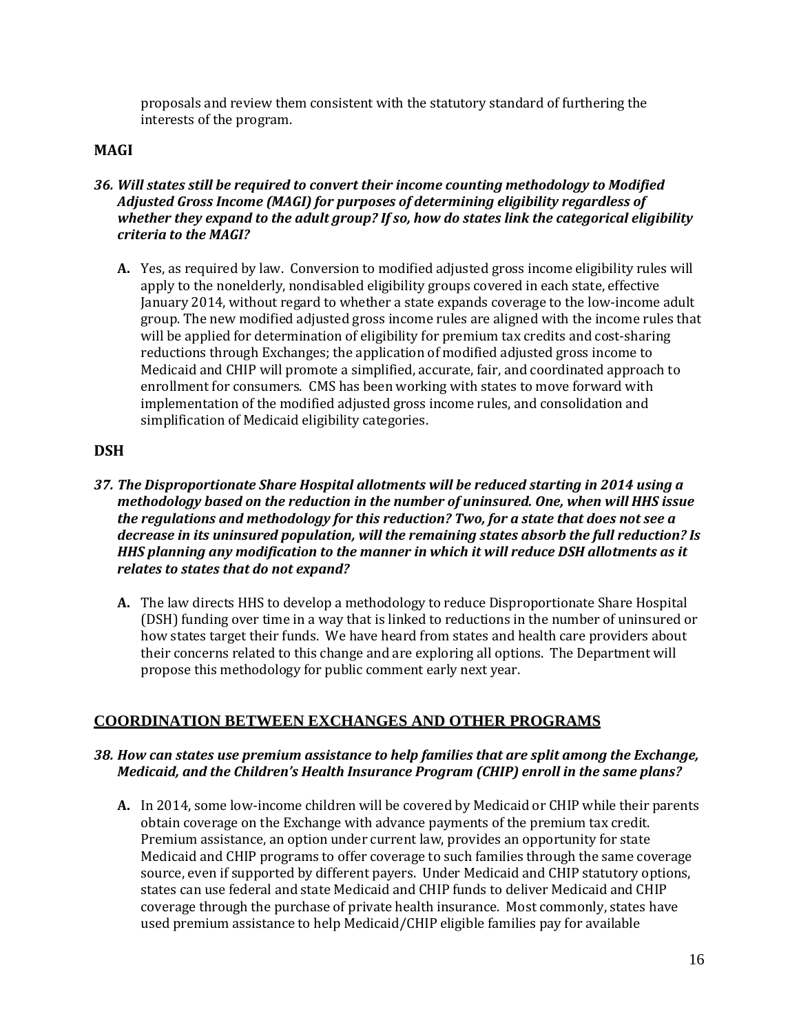proposals and review them consistent with the statutory standard of furthering the interests of the program.

# **MAGI**

- *36. Will states still be required to convert their income counting methodology to Modified whether they expand to the adult group? If so, how do states link the categorical eligibility Adjusted Gross Income (MAGI) for purposes of determining eligibility regardless of criteria to the MAGI?* 
	- **A.** Yes, as required by law. Conversion to modified adjusted gross income eligibility rules will apply to the nonelderly, nondisabled eligibility groups covered in each state, effective group. The new modified adjusted gross income rules are aligned with the income rules that will be applied for determination of eligibility for premium tax credits and cost-sharing reductions through Exchanges; the application of modified adjusted gross income to Medicaid and CHIP will promote a simplified, accurate, fair, and coordinated approach to enrollment for consumers. CMS has been working with states to move forward with implementation of the modified adjusted gross income rules, and consolidation and simplification of Medicaid eligibility categories. January 2014, without regard to whether a state expands coverage to the low-income adult

# **DSH**

- *37. The Disproportionate Share Hospital allotments will be reduced starting in 2014 using a methodology based on the reduction in the number of uninsured. One, when will HHS issue the regulations and methodology for this reduction? Two, for a state that does not see a decrease in its uninsured population, will the remaining states absorb the full reduction? Is HHS planning any modification to the manner in which it will reduce DSH allotments as it relates to states that do not expand?* 
	- **A.** The law directs HHS to develop a methodology to reduce Disproportionate Share Hospital (DSH) funding over time in a way that is linked to reductions in the number of uninsured or how states target their funds. We have heard from states and health care providers about their concerns related to this change and are exploring all options. The Department will propose this methodology for public comment early next year.

# **COORDINATION BETWEEN EXCHANGES AND OTHER PROGRAMS**

### *38. How can states use premium assistance to help families that are split among the Exchange, Medicaid, and the Children's Health Insurance Program (CHIP) enroll in the same plans?*

 **A.** In 2014, some low-income children will be covered by Medicaid or CHIP while their parents obtain coverage on the Exchange with advance payments of the premium tax credit. Premium assistance, an option under current law, provides an opportunity for state Medicaid and CHIP programs to offer coverage to such families through the same coverage source, even if supported by different payers. Under Medicaid and CHIP statutory options, states can use federal and state Medicaid and CHIP funds to deliver Medicaid and CHIP coverage through the purchase of private health insurance. Most commonly, states have used premium assistance to help Medicaid/CHIP eligible families pay for available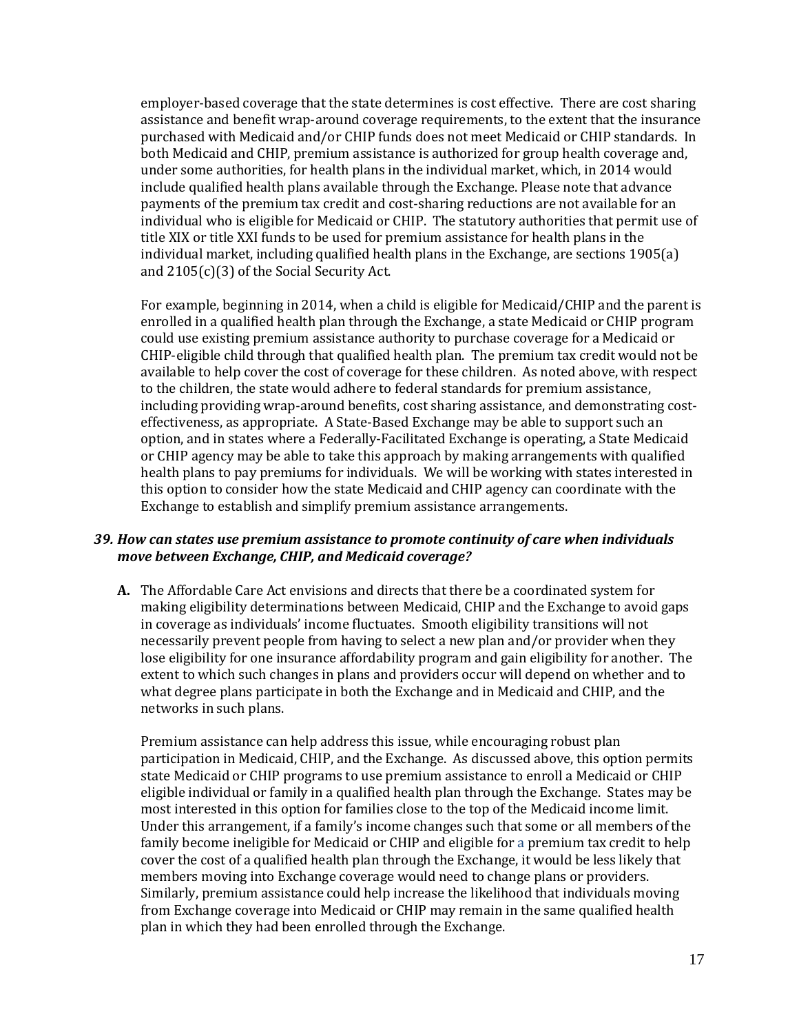employer-based coverage that the state determines is cost effective. There are cost sharing assistance and benefit wrap-around coverage requirements, to the extent that the insurance purchased with Medicaid and/or CHIP funds does not meet Medicaid or CHIP standards. In both Medicaid and CHIP, premium assistance is authorized for group health coverage and, under some authorities, for health plans in the individual market, which, in 2014 would include qualified health plans available through the Exchange. Please note that advance payments of the premium tax credit and cost-sharing reductions are not available for an individual who is eligible for Medicaid or CHIP. The statutory authorities that permit use of title XIX or title XXI funds to be used for premium assistance for health plans in the individual market, including qualified health plans in the Exchange, are sections 1905(a) and 2105(c)(3) of the Social Security Act.

 For example, beginning in 2014, when a child is eligible for Medicaid/CHIP and the parent is enrolled in a qualified health plan through the Exchange, a state Medicaid or CHIP program could use existing premium assistance authority to purchase coverage for a Medicaid or CHIP-eligible child through that qualified health plan. The premium tax credit would not be available to help cover the cost of coverage for these children. As noted above, with respect to the children, the state would adhere to federal standards for premium assistance, including providing wrap-around benefits, cost sharing assistance, and demonstrating cost- effectiveness, as appropriate. A State-Based Exchange may be able to support such an option, and in states where a Federally-Facilitated Exchange is operating, a State Medicaid or CHIP agency may be able to take this approach by making arrangements with qualified health plans to pay premiums for individuals. We will be working with states interested in this option to consider how the state Medicaid and CHIP agency can coordinate with the Exchange to establish and simplify premium assistance arrangements.

#### *39. How can states use premium assistance to promote continuity of care when individuals move between Exchange, CHIP, and Medicaid coverage?*

 **A.** The Affordable Care Act envisions and directs that there be a coordinated system for making eligibility determinations between Medicaid, CHIP and the Exchange to avoid gaps in coverage as individuals' income fluctuates. Smooth eligibility transitions will not necessarily prevent people from having to select a new plan and/or provider when they lose eligibility for one insurance affordability program and gain eligibility for another. The extent to which such changes in plans and providers occur will depend on whether and to what degree plans participate in both the Exchange and in Medicaid and CHIP, and the networks in such plans.

 Premium assistance can help address this issue, while encouraging robust plan participation in Medicaid, CHIP, and the Exchange. As discussed above, this option permits state Medicaid or CHIP programs to use premium assistance to enroll a Medicaid or CHIP eligible individual or family in a qualified health plan through the Exchange. States may be most interested in this option for families close to the top of the Medicaid income limit. Under this arrangement, if a family's income changes such that some or all members of the family become ineligible for Medicaid or CHIP and eligible for a premium tax credit to help cover the cost of a qualified health plan through the Exchange, it would be less likely that members moving into Exchange coverage would need to change plans or providers. Similarly, premium assistance could help increase the likelihood that individuals moving from Exchange coverage into Medicaid or CHIP may remain in the same qualified health plan in which they had been enrolled through the Exchange.